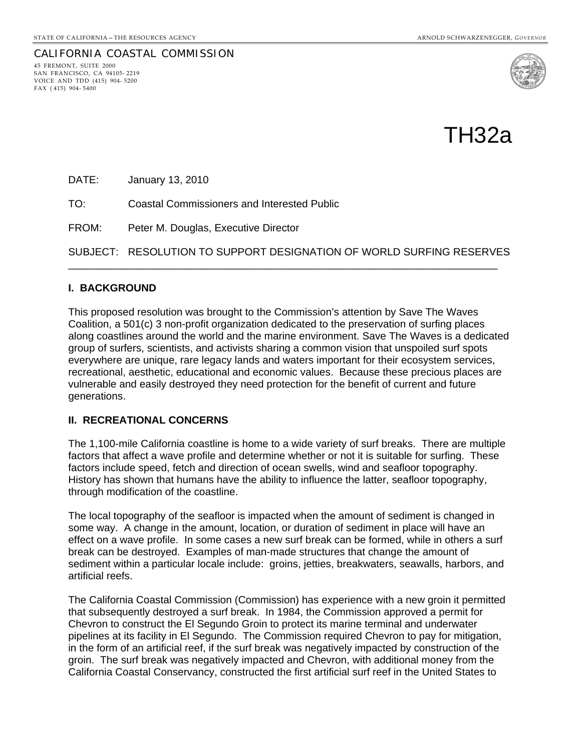CALIFORNIA COASTAL COMMISSION 45 FREMONT, SUITE 2000

SAN FRANCISCO, CA 94105- 2219 VOICE AND TDD (415) 904- 5200 FAX ( 415) 904- 5400



TH32a

DATE: January 13, 2010

TO: Coastal Commissioners and Interested Public

FROM: Peter M. Douglas, Executive Director

SUBJECT: RESOLUTION TO SUPPORT DESIGNATION OF WORLD SURFING RESERVES \_\_\_\_\_\_\_\_\_\_\_\_\_\_\_\_\_\_\_\_\_\_\_\_\_\_\_\_\_\_\_\_\_\_\_\_\_\_\_\_\_\_\_\_\_\_\_\_\_\_\_\_\_\_\_\_\_\_\_\_\_\_\_\_\_\_\_\_\_\_\_\_\_\_

#### **I. BACKGROUND**

This proposed resolution was brought to the Commission's attention by Save The Waves Coalition, a 501(c) 3 non-profit organization dedicated to the preservation of surfing places along coastlines around the world and the marine environment. Save The Waves is a dedicated group of surfers, scientists, and activists sharing a common vision that unspoiled surf spots everywhere are unique, rare legacy lands and waters important for their ecosystem services, recreational, aesthetic, educational and economic values. Because these precious places are vulnerable and easily destroyed they need protection for the benefit of current and future generations.

#### **II. RECREATIONAL CONCERNS**

The 1,100-mile California coastline is home to a wide variety of surf breaks. There are multiple factors that affect a wave profile and determine whether or not it is suitable for surfing. These factors include speed, fetch and direction of ocean swells, wind and seafloor topography. History has shown that humans have the ability to influence the latter, seafloor topography, through modification of the coastline.

The local topography of the seafloor is impacted when the amount of sediment is changed in some way. A change in the amount, location, or duration of sediment in place will have an effect on a wave profile. In some cases a new surf break can be formed, while in others a surf break can be destroyed. Examples of man-made structures that change the amount of sediment within a particular locale include: groins, jetties, breakwaters, seawalls, harbors, and artificial reefs.

The California Coastal Commission (Commission) has experience with a new groin it permitted that subsequently destroyed a surf break. In 1984, the Commission approved a permit for Chevron to construct the El Segundo Groin to protect its marine terminal and underwater pipelines at its facility in El Segundo. The Commission required Chevron to pay for mitigation, in the form of an artificial reef, if the surf break was negatively impacted by construction of the groin. The surf break was negatively impacted and Chevron, with additional money from the California Coastal Conservancy, constructed the first artificial surf reef in the United States to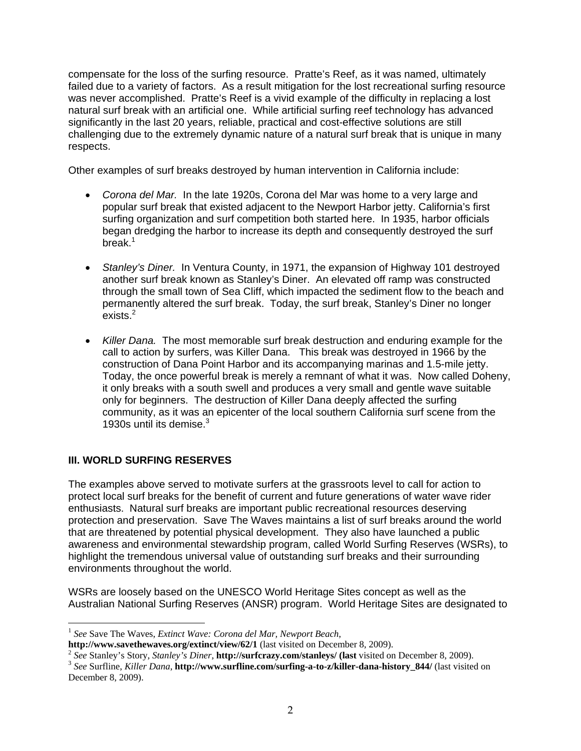compensate for the loss of the surfing resource. Pratte's Reef, as it was named, ultimately failed due to a variety of factors. As a result mitigation for the lost recreational surfing resource was never accomplished. Pratte's Reef is a vivid example of the difficulty in replacing a lost natural surf break with an artificial one. While artificial surfing reef technology has advanced significantly in the last 20 years, reliable, practical and cost-effective solutions are still challenging due to the extremely dynamic nature of a natural surf break that is unique in many respects.

Other examples of surf breaks destroyed by human intervention in California include:

- *Corona del Mar.* In the late 1920s, Corona del Mar was home to a very large and popular surf break that existed adjacent to the Newport Harbor jetty. California's first surfing organization and surf competition both started here. In 1935, harbor officials began dredging the harbor to increase its depth and consequently destroyed the surf break. $1$
- *Stanley's Diner.* In Ventura County, in 1971, the expansion of Highway 101 destroyed another surf break known as Stanley's Diner. An elevated off ramp was constructed through the small town of Sea Cliff, which impacted the sediment flow to the beach and permanently altered the surf break. Today, the surf break, Stanley's Diner no longer  $exists.<sup>2</sup>$  $exists.<sup>2</sup>$  $exists.<sup>2</sup>$
- *Killer Dana.* The most memorable surf break destruction and enduring example for the call to action by surfers, was Killer Dana. This break was destroyed in 1966 by the construction of Dana Point Harbor and its accompanying marinas and 1.5-mile jetty. Today, the once powerful break is merely a remnant of what it was. Now called Doheny, it only breaks with a south swell and produces a very small and gentle wave suitable only for beginners. The destruction of Killer Dana deeply affected the surfing community, as it was an epicenter of the local southern California surf scene from the 19[3](#page-1-2)0s until its demise.<sup>3</sup>

### **III. WORLD SURFING RESERVES**

-

The examples above served to motivate surfers at the grassroots level to call for action to protect local surf breaks for the benefit of current and future generations of water wave rider enthusiasts. Natural surf breaks are important public recreational resources deserving protection and preservation. Save The Waves maintains a list of surf breaks around the world that are threatened by potential physical development. They also have launched a public awareness and environmental stewardship program, called World Surfing Reserves (WSRs), to highlight the tremendous universal value of outstanding surf breaks and their surrounding environments throughout the world.

WSRs are loosely based on the UNESCO World Heritage Sites concept as well as the Australian National Surfing Reserves (ANSR) program. World Heritage Sites are designated to

<span id="page-1-0"></span>

<sup>&</sup>lt;sup>1</sup> See Save The Waves, *Extinct Wave: Corona del Mar, Newport Beach*,<br>**http://www.savethewaves.org/extinct/view/62/1** (last visited on December 8, 2009).

<span id="page-1-1"></span> $\frac{2}{3}$  See Stanley's Story, Stanley's Diner, **[http://surfcrazy.com/stanleys/ \(last](http://surfcrazy.com/stanleys/%20(last)** visited on December 8, 2009).<br><sup>3</sup> See Surfline, Killer Dana, **[http://www.surfline.com/surfing-a-to-z/killer-dana-history\\_844/](http://www.surfline.com/surfing-a-to-z/killer-dana-history_844/)** (last v

<span id="page-1-2"></span>December 8, 2009).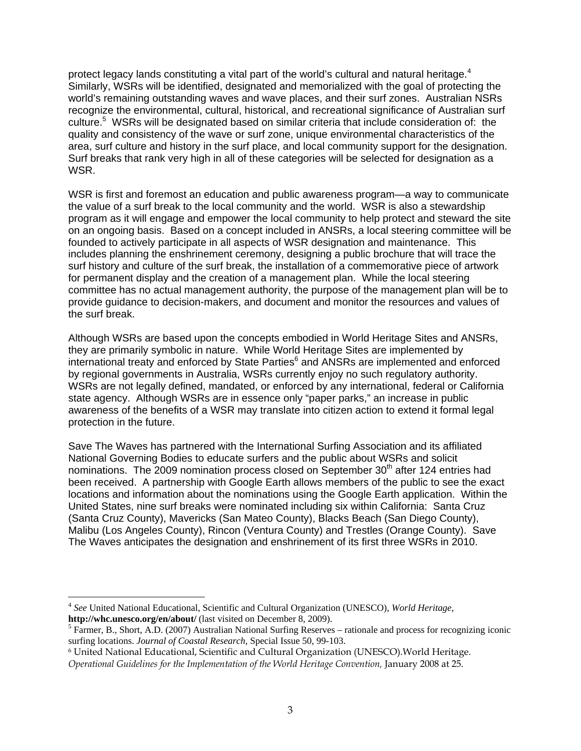protect legacy lands constituting a vital part of the world's cultural and natural heritage.<sup>[4](#page-2-0)</sup> Similarly, WSRs will be identified, designated and memorialized with the goal of protecting the world's remaining outstanding waves and wave places, and their surf zones. Australian NSRs recognize the environmental, cultural, historical, and recreational significance of Australian surf culture.<sup>5</sup> WSRs will be designated based on similar criteria that include consideration of: the quality and consistency of the wave or surf zone, unique environmental characteristics of the area, surf culture and history in the surf place, and local community support for the designation. Surf breaks that rank very high in all of these categories will be selected for designation as a WSR.

WSR is first and foremost an education and public awareness program—a way to communicate the value of a surf break to the local community and the world. WSR is also a stewardship program as it will engage and empower the local community to help protect and steward the site on an ongoing basis. Based on a concept included in ANSRs, a local steering committee will be founded to actively participate in all aspects of WSR designation and maintenance. This includes planning the enshrinement ceremony, designing a public brochure that will trace the surf history and culture of the surf break, the installation of a commemorative piece of artwork for permanent display and the creation of a management plan. While the local steering committee has no actual management authority, the purpose of the management plan will be to provide guidance to decision-makers, and document and monitor the resources and values of the surf break.

Although WSRs are based upon the concepts embodied in World Heritage Sites and ANSRs, they are primarily symbolic in nature. While World Heritage Sites are implemented by international treaty and enforced by State Parties<sup>[6](#page-2-2)</sup> and ANSRs are implemented and enforced by regional governments in Australia, WSRs currently enjoy no such regulatory authority. WSRs are not legally defined, mandated, or enforced by any international, federal or California state agency. Although WSRs are in essence only "paper parks," an increase in public awareness of the benefits of a WSR may translate into citizen action to extend it formal legal protection in the future.

Save The Waves has partnered with the International Surfing Association and its affiliated National Governing Bodies to educate surfers and the public about WSRs and solicit nominations. The 2009 nomination process closed on September 30<sup>th</sup> after 124 entries had been received. A partnership with Google Earth allows members of the public to see the exact locations and information about the nominations using the Google Earth application. Within the United States, nine surf breaks were nominated including six within California: Santa Cruz (Santa Cruz County), Mavericks (San Mateo County), Blacks Beach (San Diego County), Malibu (Los Angeles County), Rincon (Ventura County) and Trestles (Orange County). Save The Waves anticipates the designation and enshrinement of its first three WSRs in 2010.

 $\overline{a}$ 

<span id="page-2-0"></span><sup>4</sup> *See* United National Educational, Scientific and Cultural Organization (UNESCO), *World Heritage*, **http://whc.unesco.org/en/about/** (last visited on December 8, 2009).

<span id="page-2-1"></span> $<sup>5</sup>$  Farmer, B., Short, A.D. (2007) Australian National Surfing Reserves – rationale and process for recognizing iconic</sup> surfing locations. *Journal of Coastal Research*, Special Issue 50, 99-103.

<span id="page-2-2"></span><sup>6</sup> United National Educational, Scientific and Cultural Organization (UNESCO).World Heritage.

*Operational Guidelines for the Implementation of the World Heritage Convention,* January 2008 at 25.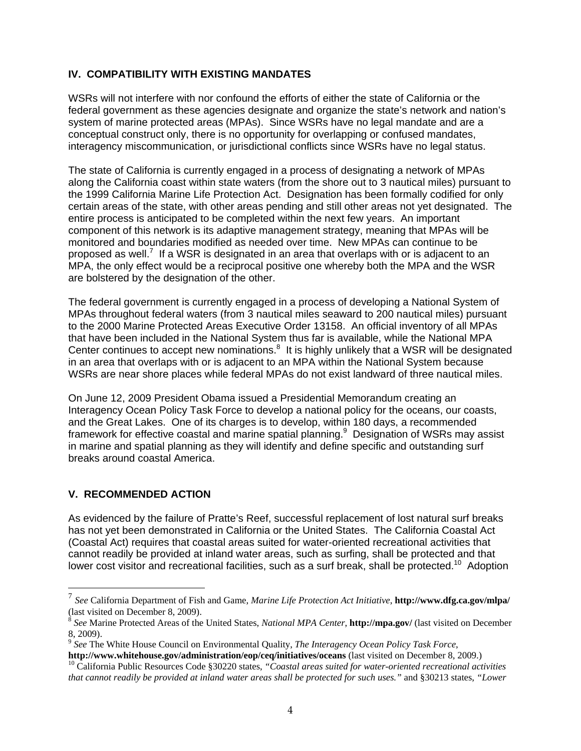### **IV. COMPATIBILITY WITH EXISTING MANDATES**

WSRs will not interfere with nor confound the efforts of either the state of California or the federal government as these agencies designate and organize the state's network and nation's system of marine protected areas (MPAs). Since WSRs have no legal mandate and are a conceptual construct only, there is no opportunity for overlapping or confused mandates, interagency miscommunication, or jurisdictional conflicts since WSRs have no legal status.

The state of California is currently engaged in a process of designating a network of MPAs along the California coast within state waters (from the shore out to 3 nautical miles) pursuant to the 1999 California Marine Life Protection Act. Designation has been formally codified for only certain areas of the state, with other areas pending and still other areas not yet designated. The entire process is anticipated to be completed within the next few years. An important component of this network is its adaptive management strategy, meaning that MPAs will be monitored and boundaries modified as needed over time. New MPAs can continue to be proposed as well.<sup>[7](#page-3-0)</sup> If a WSR is designated in an area that overlaps with or is adjacent to an MPA, the only effect would be a reciprocal positive one whereby both the MPA and the WSR are bolstered by the designation of the other.

The federal government is currently engaged in a process of developing a National System of MPAs throughout federal waters (from 3 nautical miles seaward to 200 nautical miles) pursuant to the 2000 Marine Protected Areas Executive Order 13158. An official inventory of all MPAs that have been included in the National System thus far is available, while the National MPA Center continues to accept new nominations. $8$  It is highly unlikely that a WSR will be designated in an area that overlaps with or is adjacent to an MPA within the National System because WSRs are near shore places while federal MPAs do not exist landward of three nautical miles.

On June 12, 2009 President Obama issued a Presidential Memorandum creating an Interagency Ocean Policy Task Force to develop a national policy for the oceans, our coasts, and the Great Lakes. One of its charges is to develop, within 180 days, a recommended framework for effective coastal and marine spatial planning.<sup>[9](#page-3-2)</sup> Designation of WSRs may assist in marine and spatial planning as they will identify and define specific and outstanding surf breaks around coastal America.

### **V. RECOMMENDED ACTION**

As evidenced by the failure of Pratte's Reef, successful replacement of lost natural surf breaks has not yet been demonstrated in California or the United States. The California Coastal Act (Coastal Act) requires that coastal areas suited for water-oriented recreational activities that cannot readily be provided at inland water areas, such as surfing, shall be protected and that lower cost visitor and recreational facilities, such as a surf break, shall be protected.<sup>10</sup> Adoption

<span id="page-3-0"></span><sup>7</sup> *See* California Department of Fish and Game, *Marine Life Protection Act Initiative*, **<http://www.dfg.ca.gov/mlpa/>**

<span id="page-3-1"></span><sup>(</sup>last visited on December 8, 2009).<br><sup>8</sup> *See* Marine Protected Areas of the United States, *National MPA Center*, **<http://mpa.gov/>** (last visited on December 8, 2009).

<span id="page-3-2"></span><sup>&</sup>lt;sup>9</sup> *See* The White House Council on Environmental Quality, *The Interagency Ocean Policy Task Force*, **http://www.whitehouse.gov/administration/eop/ceg/initiatives/oceans** (last visited on December 8, 2009.)

<span id="page-3-3"></span> $10$ California Public Resources Code §30220 states, "Coastal areas suited for water-oriented recreational activities *that cannot readily be provided at inland water areas shall be protected for such uses."* and §30213 states, *"Lower*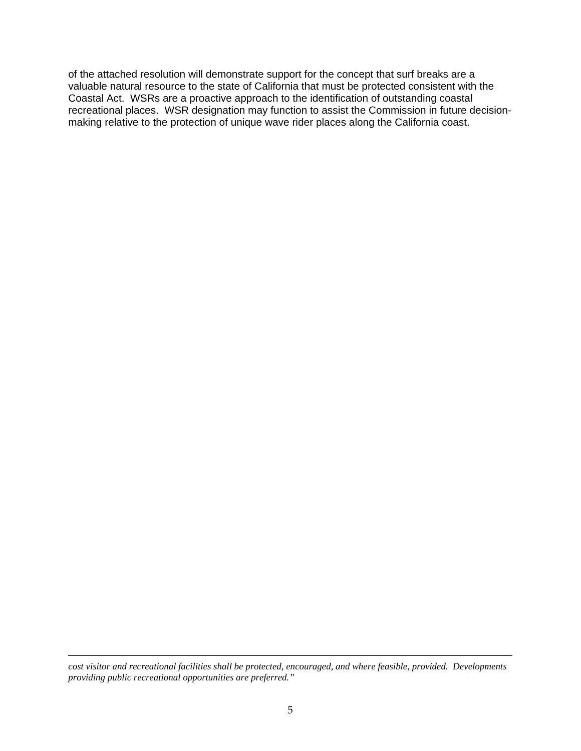of the attached resolution will demonstrate support for the concept that surf breaks are a valuable natural resource to the state of California that must be protected consistent with the Coastal Act. WSRs are a proactive approach to the identification of outstanding coastal recreational places. WSR designation may function to assist the Commission in future decisionmaking relative to the protection of unique wave rider places along the California coast.

*cost visitor and recreational facilities shall be protected, encouraged, and where feasible, provided. Developments providing public recreational opportunities are preferred."* 

 $\overline{a}$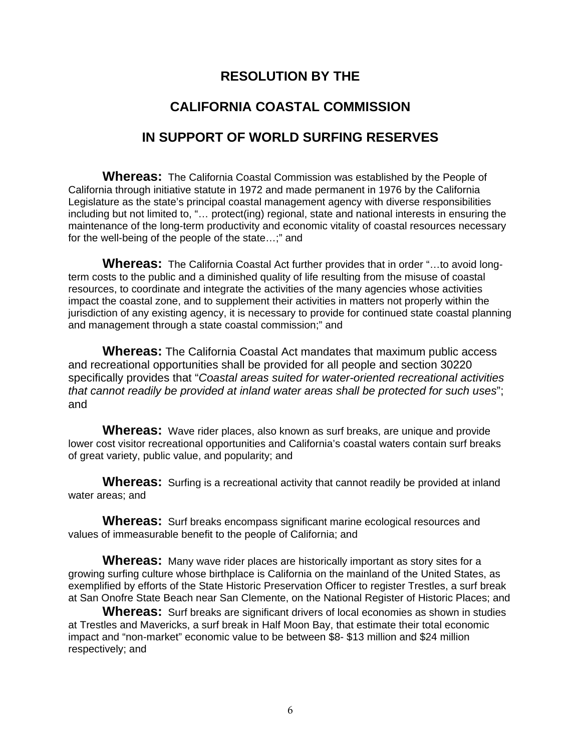## **RESOLUTION BY THE**

# **CALIFORNIA COASTAL COMMISSION**

# **IN SUPPORT OF WORLD SURFING RESERVES**

**Whereas:** The California Coastal Commission was established by the People of California through initiative statute in 1972 and made permanent in 1976 by the California Legislature as the state's principal coastal management agency with diverse responsibilities including but not limited to, "… protect(ing) regional, state and national interests in ensuring the maintenance of the long-term productivity and economic vitality of coastal resources necessary for the well-being of the people of the state…;" and

**Whereas:** The California Coastal Act further provides that in order "…to avoid longterm costs to the public and a diminished quality of life resulting from the misuse of coastal resources, to coordinate and integrate the activities of the many agencies whose activities impact the coastal zone, and to supplement their activities in matters not properly within the jurisdiction of any existing agency, it is necessary to provide for continued state coastal planning and management through a state coastal commission;" and

**Whereas:** The California Coastal Act mandates that maximum public access and recreational opportunities shall be provided for all people and section 30220 specifically provides that "*Coastal areas suited for water-oriented recreational activities that cannot readily be provided at inland water areas shall be protected for such uses*"; and

**Whereas:** Wave rider places, also known as surf breaks, are unique and provide lower cost visitor recreational opportunities and California's coastal waters contain surf breaks of great variety, public value, and popularity; and

**Whereas:** Surfing is a recreational activity that cannot readily be provided at inland water areas; and

**Whereas:** Surf breaks encompass significant marine ecological resources and values of immeasurable benefit to the people of California; and

**Whereas:** Many wave rider places are historically important as story sites for a growing surfing culture whose birthplace is California on the mainland of the United States, as exemplified by efforts of the State Historic Preservation Officer to register Trestles, a surf break at San Onofre State Beach near San Clemente, on the National Register of Historic Places; and

**Whereas:** Surf breaks are significant drivers of local economies as shown in studies at Trestles and Mavericks, a surf break in Half Moon Bay, that estimate their total economic impact and "non-market" economic value to be between \$8- \$13 million and \$24 million respectively; and